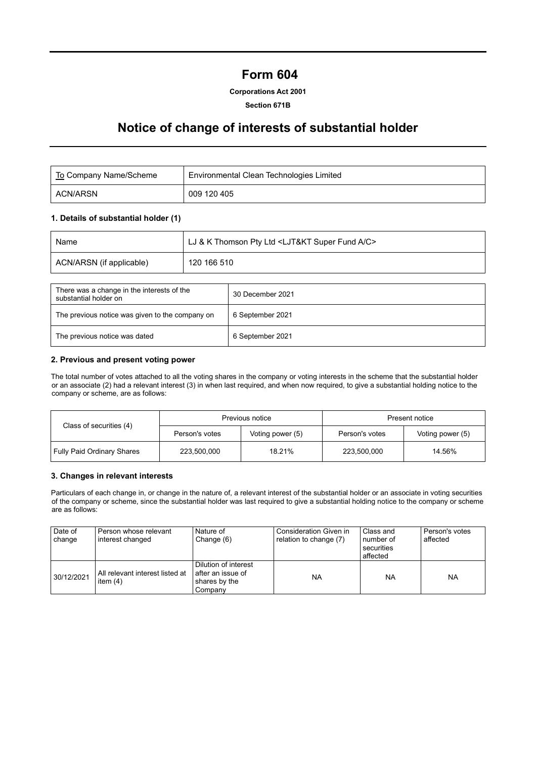# **Form 604**

# **Corporations Act 2001**

### **Section 671B**

# **Notice of change of interests of substantial holder**

| To Company Name/Scheme | Environmental Clean Technologies Limited |
|------------------------|------------------------------------------|
| ACN/ARSN               | 009 120 405                              |

# **1. Details of substantial holder (1)**

| Name                     | LJ & K Thomson Pty Ltd <ljt&kt a="" c="" fund="" super=""></ljt&kt> |
|--------------------------|---------------------------------------------------------------------|
| ACN/ARSN (if applicable) | 120 166 510                                                         |

| There was a change in the interests of the<br>substantial holder on | 30 December 2021 |
|---------------------------------------------------------------------|------------------|
| The previous notice was given to the company on                     | 6 September 2021 |
| The previous notice was dated                                       | 6 September 2021 |

### **2. Previous and present voting power**

The total number of votes attached to all the voting shares in the company or voting interests in the scheme that the substantial holder or an associate (2) had a relevant interest (3) in when last required, and when now required, to give a substantial holding notice to the company or scheme, are as follows:

|                                   |                | Previous notice  | Present notice |                  |  |
|-----------------------------------|----------------|------------------|----------------|------------------|--|
| Class of securities (4)           | Person's votes | Voting power (5) | Person's votes | Voting power (5) |  |
| <b>Fully Paid Ordinary Shares</b> | 223.500.000    | 18.21%           | 223,500,000    | 14.56%           |  |

#### **3. Changes in relevant interests**

Particulars of each change in, or change in the nature of, a relevant interest of the substantial holder or an associate in voting securities of the company or scheme, since the substantial holder was last required to give a substantial holding notice to the company or scheme are as follows:

| Date of<br>change | I Person whose relevant<br>interest changed     | Nature of<br>Change (6)                                                 | Consideration Given in<br>relation to change (7) | Class and<br>number of<br>securities<br>affected | Person's votes<br>affected |
|-------------------|-------------------------------------------------|-------------------------------------------------------------------------|--------------------------------------------------|--------------------------------------------------|----------------------------|
| 30/12/2021        | l All relevant interest listed at<br>item $(4)$ | Dilution of interest<br>l after an issue of<br>shares by the<br>Companv | <b>NA</b>                                        | <b>NA</b>                                        | <b>NA</b>                  |